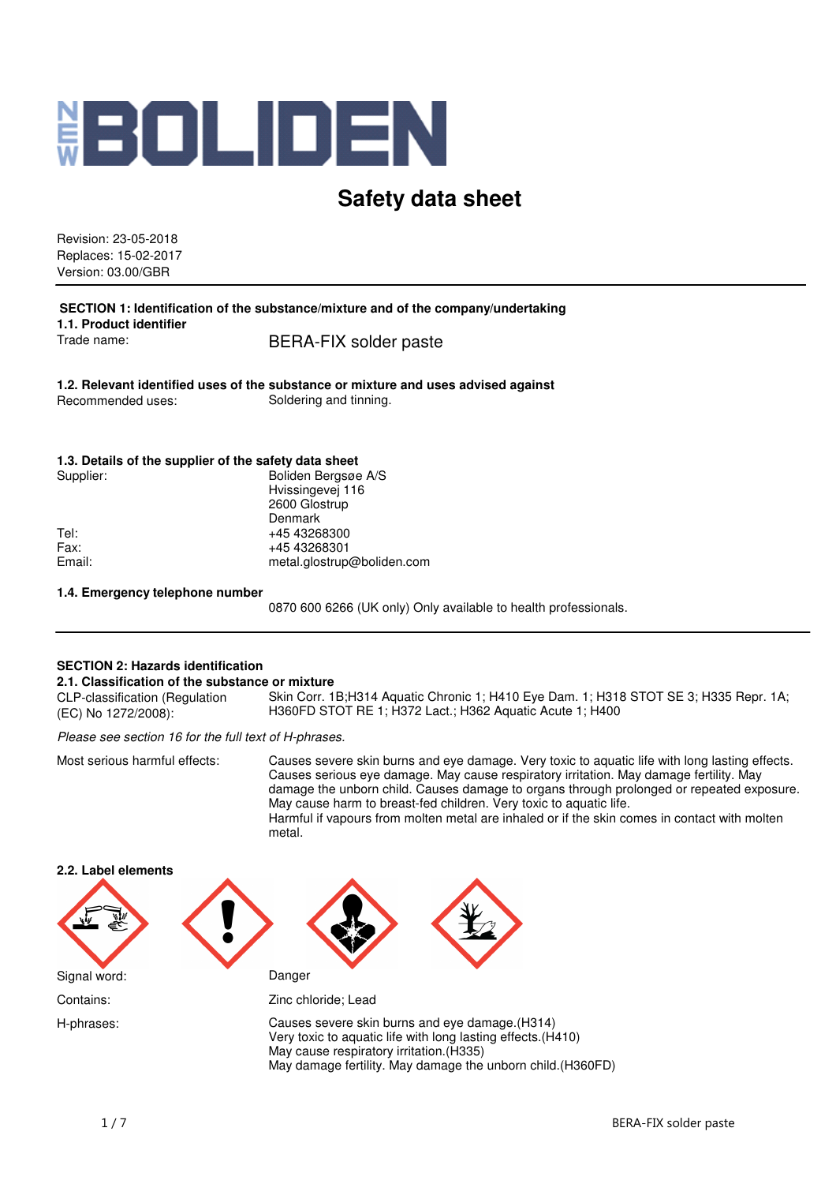

# **Safety data sheet**

Revision: 23-05-2018 Replaces: 15-02-2017 Version: 03.00/GBR

**SECTION 1: Identification of the substance/mixture and of the company/undertaking 1.1. Product identifier** Trade name: BERA-FIX solder paste

**1.2. Relevant identified uses of the substance or mixture and uses advised against** Recommended uses: Soldering and tinning.

#### **1.3. Details of the supplier of the safety data sheet**

| Supplier: | Boliden Bergsøe A/S        |
|-----------|----------------------------|
|           | Hvissingevej 116           |
|           | 2600 Glostrup              |
|           | Denmark                    |
| Tel:      | +45 43268300               |
| Fax:      | +45 43268301               |
| Email:    | metal.glostrup@boliden.com |
|           |                            |

#### **1.4. Emergency telephone number**

0870 600 6266 (UK only) Only available to health professionals.

#### **SECTION 2: Hazards identification**

#### **2.1. Classification of the substance or mixture**

CLP-classification (Regulation (EC) No 1272/2008): Skin Corr. 1B;H314 Aquatic Chronic 1; H410 Eye Dam. 1; H318 STOT SE 3; H335 Repr. 1A; H360FD STOT RE 1; H372 Lact.; H362 Aquatic Acute 1; H400

Please see section 16 for the full text of H-phrases.

Most serious harmful effects: Causes severe skin burns and eye damage. Very toxic to aquatic life with long lasting effects. Causes serious eye damage. May cause respiratory irritation. May damage fertility. May damage the unborn child. Causes damage to organs through prolonged or repeated exposure. May cause harm to breast-fed children. Very toxic to aquatic life. Harmful if vapours from molten metal are inhaled or if the skin comes in contact with molten metal.

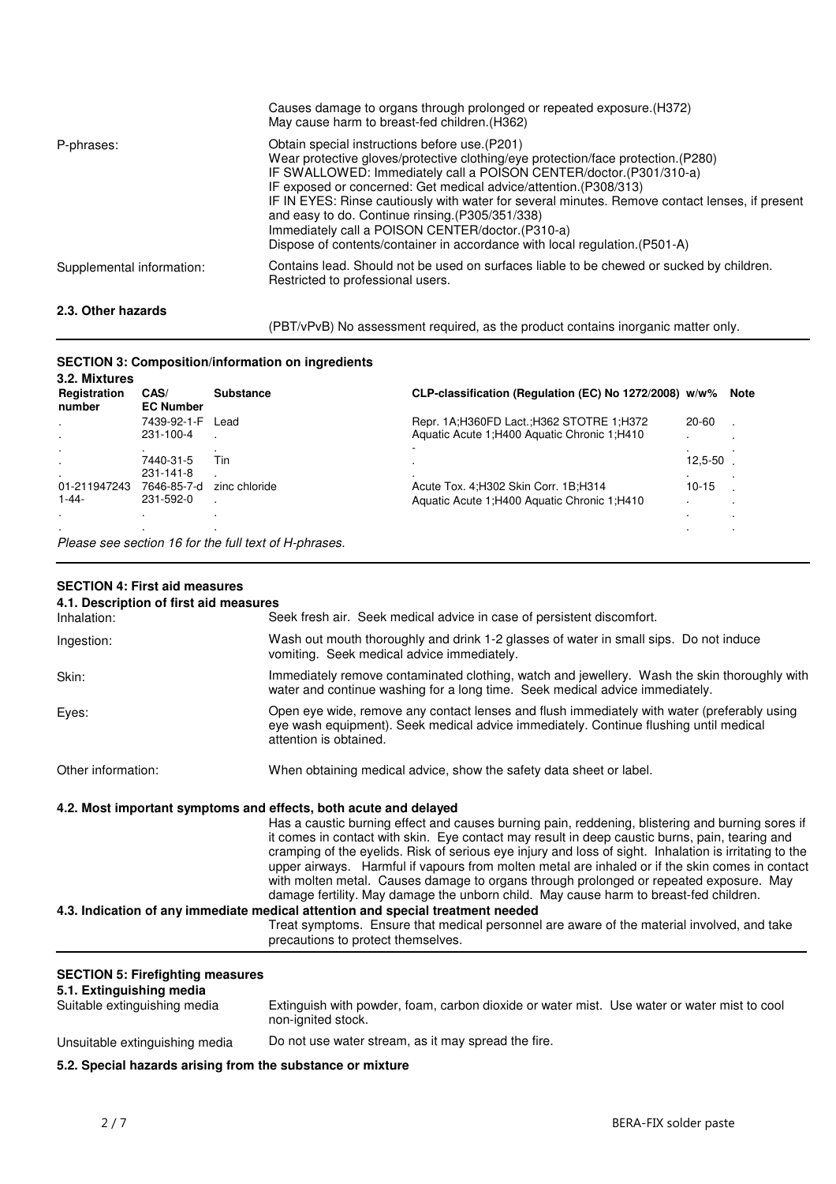| 2.3. Other hazards        |                                                                                                                                                                                                                                                                                                                                                                                                                                                                                                                                                                           |
|---------------------------|---------------------------------------------------------------------------------------------------------------------------------------------------------------------------------------------------------------------------------------------------------------------------------------------------------------------------------------------------------------------------------------------------------------------------------------------------------------------------------------------------------------------------------------------------------------------------|
| Supplemental information: | Contains lead. Should not be used on surfaces liable to be chewed or sucked by children.<br>Restricted to professional users.                                                                                                                                                                                                                                                                                                                                                                                                                                             |
| P-phrases:                | Obtain special instructions before use. (P201)<br>Wear protective gloves/protective clothing/eye protection/face protection. (P280)<br>IF SWALLOWED: Immediately call a POISON CENTER/doctor. (P301/310-a)<br>IF exposed or concerned: Get medical advice/attention. (P308/313)<br>IF IN EYES: Rinse cautiously with water for several minutes. Remove contact lenses, if present<br>and easy to do. Continue rinsing. (P305/351/338)<br>Immediately call a POISON CENTER/doctor. (P310-a)<br>Dispose of contents/container in accordance with local regulation. (P501-A) |
|                           | Causes damage to organs through prolonged or repeated exposure. (H372)<br>May cause harm to breast-fed children. (H362)                                                                                                                                                                                                                                                                                                                                                                                                                                                   |

(PBT/vPvB) No assessment required, as the product contains inorganic matter only.

# **SECTION 3: Composition/information on ingredients**

| 3.2. Mixtures          |                          |                  |                                                        |           |             |
|------------------------|--------------------------|------------------|--------------------------------------------------------|-----------|-------------|
| Registration<br>number | CAS/<br><b>EC Number</b> | <b>Substance</b> | CLP-classification (Regulation (EC) No 1272/2008) w/w% |           | <b>Note</b> |
| $\blacksquare$         | 7439-92-1-F              | Lead             | Repr. 1A; H360FD Lact.; H362 STOTRE 1; H372            | 20-60     |             |
| $\cdot$                | 231-100-4                |                  | Aquatic Acute 1:H400 Aquatic Chronic 1:H410            |           |             |
|                        |                          |                  |                                                        |           |             |
|                        | 7440-31-5                | Tin              |                                                        | 12,5-50   |             |
|                        | 231-141-8                |                  |                                                        |           |             |
| 01-211947243           | 7646-85-7-d              | zinc chloride    | Acute Tox. 4; H302 Skin Corr. 1B; H314                 | $10 - 15$ |             |
| $1 - 44 -$             | 231-592-0                |                  | Aquatic Acute 1:H400 Aquatic Chronic 1:H410            |           |             |
| $\cdot$                |                          |                  |                                                        |           |             |
| $\cdot$                |                          |                  |                                                        |           |             |
| $-$                    |                          |                  |                                                        |           |             |

Please see section 16 for the full text of H-phrases.

## **SECTION 4: First aid measures**

| 4.1. Description of first aid measures |                                                                                                                                                                                                                                                                                                                                                                                                                                                                                                                                                                                                    |
|----------------------------------------|----------------------------------------------------------------------------------------------------------------------------------------------------------------------------------------------------------------------------------------------------------------------------------------------------------------------------------------------------------------------------------------------------------------------------------------------------------------------------------------------------------------------------------------------------------------------------------------------------|
| Inhalation:                            | Seek fresh air. Seek medical advice in case of persistent discomfort.                                                                                                                                                                                                                                                                                                                                                                                                                                                                                                                              |
| Ingestion:                             | Wash out mouth thoroughly and drink 1-2 glasses of water in small sips. Do not induce<br>vomiting. Seek medical advice immediately.                                                                                                                                                                                                                                                                                                                                                                                                                                                                |
| Skin:                                  | Immediately remove contaminated clothing, watch and jewellery. Wash the skin thoroughly with<br>water and continue washing for a long time. Seek medical advice immediately.                                                                                                                                                                                                                                                                                                                                                                                                                       |
| Eyes:                                  | Open eye wide, remove any contact lenses and flush immediately with water (preferably using<br>eye wash equipment). Seek medical advice immediately. Continue flushing until medical<br>attention is obtained.                                                                                                                                                                                                                                                                                                                                                                                     |
| Other information:                     | When obtaining medical advice, show the safety data sheet or label.                                                                                                                                                                                                                                                                                                                                                                                                                                                                                                                                |
|                                        | 4.2. Most important symptoms and effects, both acute and delayed                                                                                                                                                                                                                                                                                                                                                                                                                                                                                                                                   |
|                                        | Has a caustic burning effect and causes burning pain, reddening, blistering and burning sores if<br>it comes in contact with skin. Eye contact may result in deep caustic burns, pain, tearing and<br>cramping of the eyelids. Risk of serious eye injury and loss of sight. Inhalation is irritating to the<br>upper airways. Harmful if vapours from molten metal are inhaled or if the skin comes in contact<br>with molten metal. Causes damage to organs through prolonged or repeated exposure. May<br>damage fertility. May damage the unborn child. May cause harm to breast-fed children. |
|                                        | 4.3. Indication of any immediate medical attention and special treatment needed                                                                                                                                                                                                                                                                                                                                                                                                                                                                                                                    |
|                                        | Treat symptoms. Ensure that medical personnel are aware of the material involved, and take<br>precautions to protect themselves.                                                                                                                                                                                                                                                                                                                                                                                                                                                                   |
|                                        |                                                                                                                                                                                                                                                                                                                                                                                                                                                                                                                                                                                                    |

#### **SECTION 5: Firefighting measures**

#### **5.1. Extinguishing media**

|                                | Extinguish with powder, foam, carbon dioxide or water mist. Use water or water mist to cool |
|--------------------------------|---------------------------------------------------------------------------------------------|
| Suitable extinguishing media   | non-janited stock.                                                                          |
| Unsuitable extinguishing media | Do not use water stream, as it may spread the fire.                                         |

# **5.2. Special hazards arising from the substance or mixture**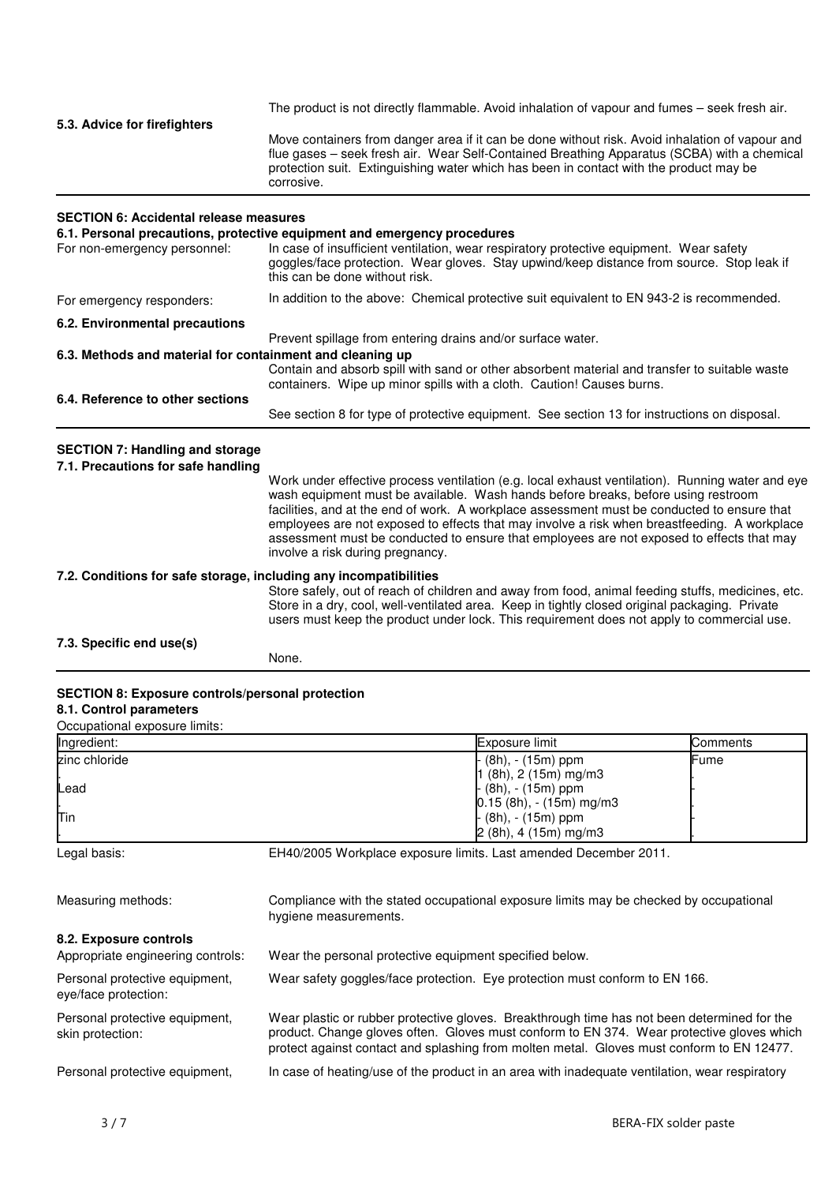| 5.3. Advice for firefighters | The product is not directly flammable. Avoid inhalation of vapour and fumes – seek fresh air.                                                                                                                                                                                                          |
|------------------------------|--------------------------------------------------------------------------------------------------------------------------------------------------------------------------------------------------------------------------------------------------------------------------------------------------------|
|                              | Move containers from danger area if it can be done without risk. Avoid inhalation of vapour and<br>flue gases – seek fresh air. Wear Self-Contained Breathing Apparatus (SCBA) with a chemical<br>protection suit. Extinguishing water which has been in contact with the product may be<br>corrosive. |
|                              |                                                                                                                                                                                                                                                                                                        |

## **SECTION 6: Accidental release measures**

| 6.1. Personal precautions, protective equipment and emergency procedures |                                                                                                                                                                                                                        |  |
|--------------------------------------------------------------------------|------------------------------------------------------------------------------------------------------------------------------------------------------------------------------------------------------------------------|--|
| For non-emergency personnel:                                             | In case of insufficient ventilation, wear respiratory protective equipment. Wear safety<br>goggles/face protection. Wear gloves. Stay upwind/keep distance from source. Stop leak if<br>this can be done without risk. |  |
| For emergency responders:                                                | In addition to the above: Chemical protective suit equivalent to EN 943-2 is recommended.                                                                                                                              |  |
| 6.2. Environmental precautions                                           |                                                                                                                                                                                                                        |  |
|                                                                          | Prevent spillage from entering drains and/or surface water.                                                                                                                                                            |  |
| 6.3. Methods and material for containment and cleaning up                |                                                                                                                                                                                                                        |  |
|                                                                          | Contain and absorb spill with sand or other absorbent material and transfer to suitable waste<br>containers. Wipe up minor spills with a cloth. Caution! Causes burns.                                                 |  |
| 6.4. Reference to other sections                                         |                                                                                                                                                                                                                        |  |
|                                                                          | See section 8 for type of protective equipment. See section 13 for instructions on disposal.                                                                                                                           |  |

# **SECTION 7: Handling and storage**

| 7.1. Precautions for safe handling                                | Work under effective process ventilation (e.g. local exhaust ventilation). Running water and eye<br>wash equipment must be available. Wash hands before breaks, before using restroom<br>facilities, and at the end of work. A workplace assessment must be conducted to ensure that<br>employees are not exposed to effects that may involve a risk when breastfeeding. A workplace<br>assessment must be conducted to ensure that employees are not exposed to effects that may<br>involve a risk during pregnancy. |
|-------------------------------------------------------------------|-----------------------------------------------------------------------------------------------------------------------------------------------------------------------------------------------------------------------------------------------------------------------------------------------------------------------------------------------------------------------------------------------------------------------------------------------------------------------------------------------------------------------|
| 7.2. Conditions for safe storage, including any incompatibilities | Store safely, out of reach of children and away from food, animal feeding stuffs, medicines, etc.<br>Store in a dry, cool, well-ventilated area. Keep in tightly closed original packaging. Private<br>users must keep the product under lock. This requirement does not apply to commercial use.                                                                                                                                                                                                                     |
| 7.3. Specific end use(s)                                          | None.                                                                                                                                                                                                                                                                                                                                                                                                                                                                                                                 |

## **SECTION 8: Exposure controls/personal protection 8.1. Control parameters**

Occupational exposure limits:

| Occupational cyposure in mo. |                            |          |
|------------------------------|----------------------------|----------|
| Ingredient:                  | Exposure limit             | Comments |
| zinc chloride                | $(8h)$ , - (15m) ppm       | lFume    |
|                              | l (8h), 2 (15m) mg/m3      |          |
| lLead                        | (8h), - (15m) ppm          |          |
|                              | $[0.15 (8h), -(15m)$ mg/m3 |          |
| lTin                         | - (8h), - (15m) ppm        |          |
|                              | $2(8h)$ , 4 (15m) mg/m3    |          |

Legal basis: EH40/2005 Workplace exposure limits. Last amended December 2011.

| Measuring methods:                                          | Compliance with the stated occupational exposure limits may be checked by occupational<br>hygiene measurements.                                                                                                                                                                       |
|-------------------------------------------------------------|---------------------------------------------------------------------------------------------------------------------------------------------------------------------------------------------------------------------------------------------------------------------------------------|
| 8.2. Exposure controls<br>Appropriate engineering controls: | Wear the personal protective equipment specified below.                                                                                                                                                                                                                               |
| Personal protective equipment,<br>eye/face protection:      | Wear safety goggles/face protection. Eye protection must conform to EN 166.                                                                                                                                                                                                           |
| Personal protective equipment,<br>skin protection:          | Wear plastic or rubber protective gloves. Breakthrough time has not been determined for the<br>product. Change gloves often. Gloves must conform to EN 374. Wear protective gloves which<br>protect against contact and splashing from molten metal. Gloves must conform to EN 12477. |
| Personal protective equipment,                              | In case of heating/use of the product in an area with inadequate ventilation, wear respiratory                                                                                                                                                                                        |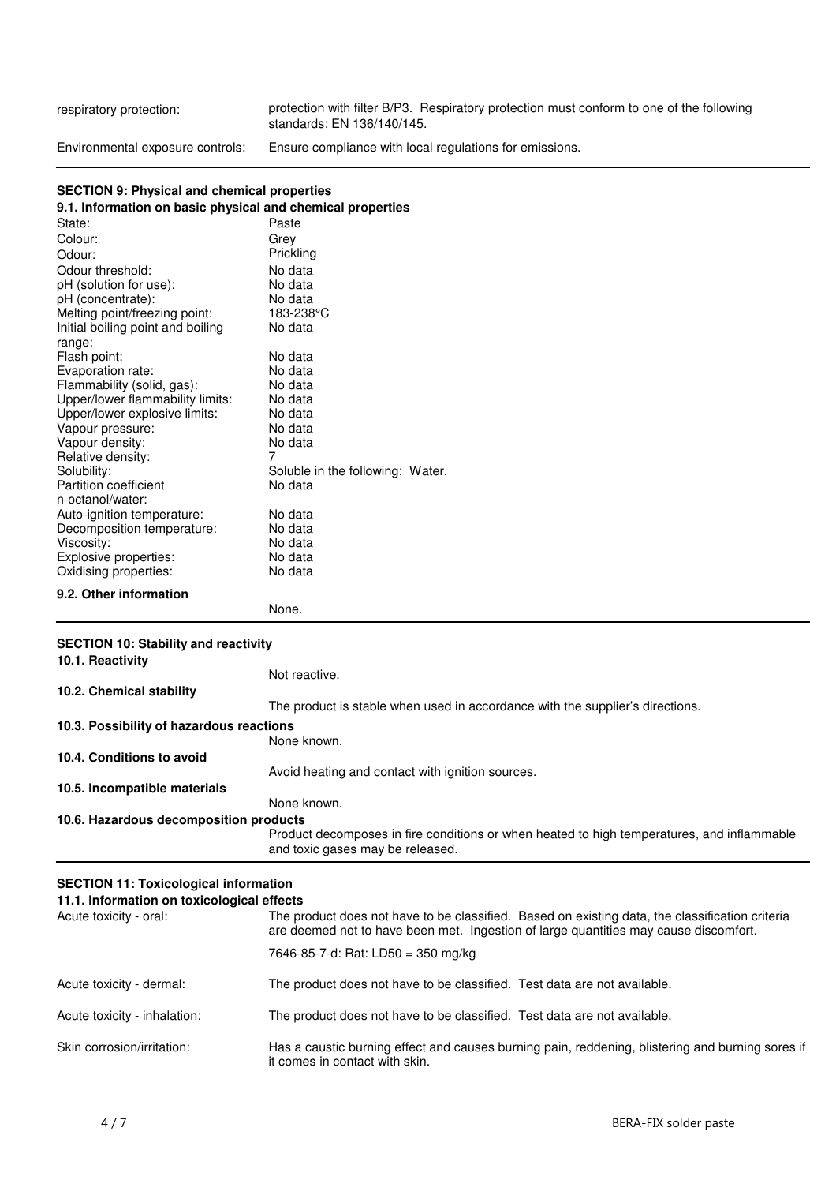respiratory protection: protection with filter B/P3. Respiratory protection must conform to one of the following standards: EN 136/140/145. Environmental exposure controls: Ensure compliance with local regulations for emissions.

#### **SECTION 9: Physical and chemical properties**

| .ca. and chomical proports                                 |                                  |  |  |
|------------------------------------------------------------|----------------------------------|--|--|
| 9.1. Information on basic physical and chemical properties |                                  |  |  |
| State:                                                     | Paste                            |  |  |
| Colour:                                                    | Grey                             |  |  |
| Odour:                                                     | Prickling                        |  |  |
| Odour threshold:                                           | No data                          |  |  |
| pH (solution for use):                                     | No data                          |  |  |
| pH (concentrate):                                          | No data                          |  |  |
| Melting point/freezing point:                              | 183-238°C                        |  |  |
| Initial boiling point and boiling                          | No data                          |  |  |
| range:                                                     |                                  |  |  |
| Flash point:                                               | No data                          |  |  |
| Evaporation rate:                                          | No data                          |  |  |
| Flammability (solid, gas):                                 | No data                          |  |  |
| Upper/lower flammability limits:                           | No data                          |  |  |
| Upper/lower explosive limits:                              | No data                          |  |  |
| Vapour pressure:                                           | No data                          |  |  |
| Vapour density:                                            | No data                          |  |  |
| Relative density:                                          | 7                                |  |  |
| Solubility:                                                | Soluble in the following: Water. |  |  |
| <b>Partition coefficient</b>                               | No data                          |  |  |
| n-octanol/water:                                           |                                  |  |  |
| Auto-ignition temperature:                                 | No data                          |  |  |
| Decomposition temperature:                                 | No data                          |  |  |
| Viscosity:                                                 | No data                          |  |  |
| Explosive properties:                                      | No data                          |  |  |
| Oxidising properties:                                      | No data                          |  |  |
| 9.2. Other information                                     |                                  |  |  |

None.

# **SECTION 10: Stability and reactivity**

| <b>SLOTION TO: Stability and reactivity</b><br>10.1. Reactivity |                                                                                                                                |
|-----------------------------------------------------------------|--------------------------------------------------------------------------------------------------------------------------------|
|                                                                 | Not reactive.                                                                                                                  |
| 10.2. Chemical stability                                        |                                                                                                                                |
|                                                                 | The product is stable when used in accordance with the supplier's directions.                                                  |
| 10.3. Possibility of hazardous reactions                        |                                                                                                                                |
|                                                                 | None known.                                                                                                                    |
| 10.4. Conditions to avoid                                       |                                                                                                                                |
|                                                                 | Avoid heating and contact with ignition sources.                                                                               |
| 10.5. Incompatible materials                                    |                                                                                                                                |
|                                                                 | None known.                                                                                                                    |
| 10.6. Hazardous decomposition products                          |                                                                                                                                |
|                                                                 | Product decomposes in fire conditions or when heated to high temperatures, and inflammable<br>and toxic gases may be released. |

# **SECTION 11: Toxicological information**

| 11.1. Information on toxicological effects |                                                                                                                                                                                         |  |
|--------------------------------------------|-----------------------------------------------------------------------------------------------------------------------------------------------------------------------------------------|--|
| Acute toxicity - oral:                     | The product does not have to be classified. Based on existing data, the classification criteria<br>are deemed not to have been met. Ingestion of large quantities may cause discomfort. |  |
|                                            | 7646-85-7-d: Rat: LD50 = 350 mg/kg                                                                                                                                                      |  |
| Acute toxicity - dermal:                   | The product does not have to be classified. Test data are not available.                                                                                                                |  |
| Acute toxicity - inhalation:               | The product does not have to be classified. Test data are not available.                                                                                                                |  |
| Skin corrosion/irritation:                 | Has a caustic burning effect and causes burning pain, reddening, blistering and burning sores if<br>it comes in contact with skin.                                                      |  |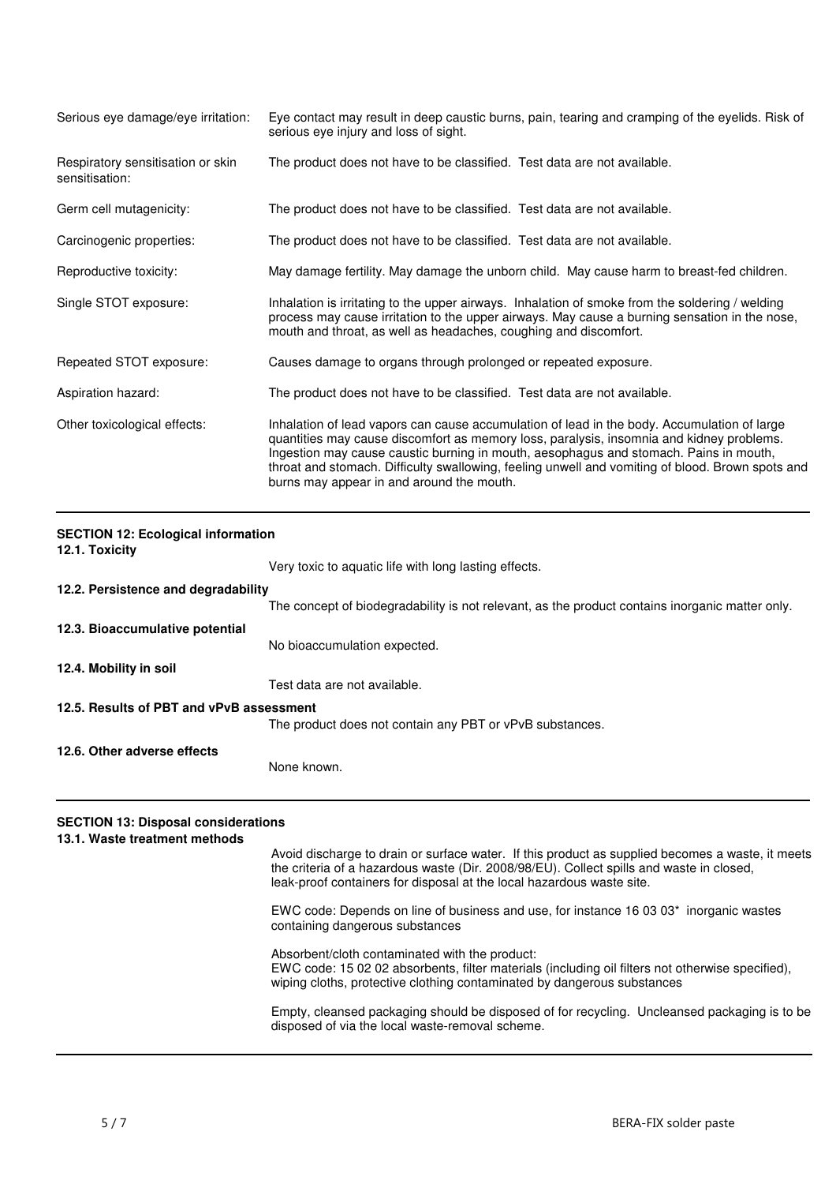| Serious eye damage/eye irritation:                  | Eye contact may result in deep caustic burns, pain, tearing and cramping of the eyelids. Risk of<br>serious eye injury and loss of sight.                                                                                                                                                                                                                                                                                         |
|-----------------------------------------------------|-----------------------------------------------------------------------------------------------------------------------------------------------------------------------------------------------------------------------------------------------------------------------------------------------------------------------------------------------------------------------------------------------------------------------------------|
| Respiratory sensitisation or skin<br>sensitisation: | The product does not have to be classified. Test data are not available.                                                                                                                                                                                                                                                                                                                                                          |
| Germ cell mutagenicity:                             | The product does not have to be classified. Test data are not available.                                                                                                                                                                                                                                                                                                                                                          |
| Carcinogenic properties:                            | The product does not have to be classified. Test data are not available.                                                                                                                                                                                                                                                                                                                                                          |
| Reproductive toxicity:                              | May damage fertility. May damage the unborn child. May cause harm to breast-fed children.                                                                                                                                                                                                                                                                                                                                         |
| Single STOT exposure:                               | Inhalation is irritating to the upper airways. Inhalation of smoke from the soldering / welding<br>process may cause irritation to the upper airways. May cause a burning sensation in the nose,<br>mouth and throat, as well as headaches, coughing and discomfort.                                                                                                                                                              |
| Repeated STOT exposure:                             | Causes damage to organs through prolonged or repeated exposure.                                                                                                                                                                                                                                                                                                                                                                   |
| Aspiration hazard:                                  | The product does not have to be classified. Test data are not available.                                                                                                                                                                                                                                                                                                                                                          |
| Other toxicological effects:                        | Inhalation of lead vapors can cause accumulation of lead in the body. Accumulation of large<br>quantities may cause discomfort as memory loss, paralysis, insomnia and kidney problems.<br>Ingestion may cause caustic burning in mouth, aesophagus and stomach. Pains in mouth,<br>throat and stomach. Difficulty swallowing, feeling unwell and vomiting of blood. Brown spots and<br>burns may appear in and around the mouth. |

| <b>SECTION 12: Ecological information</b><br>12.1. Toxicity |                                                                                                 |  |
|-------------------------------------------------------------|-------------------------------------------------------------------------------------------------|--|
|                                                             | Very toxic to aquatic life with long lasting effects.                                           |  |
| 12.2. Persistence and degradability                         |                                                                                                 |  |
|                                                             | The concept of biodegradability is not relevant, as the product contains inorganic matter only. |  |
| 12.3. Bioaccumulative potential                             |                                                                                                 |  |
|                                                             | No bioaccumulation expected.                                                                    |  |
| 12.4. Mobility in soil                                      |                                                                                                 |  |
|                                                             | Test data are not available.                                                                    |  |
| 12.5. Results of PBT and vPvB assessment                    |                                                                                                 |  |
|                                                             | The product does not contain any PBT or vPvB substances.                                        |  |
| 12.6. Other adverse effects                                 |                                                                                                 |  |
|                                                             | None known.                                                                                     |  |

# **SECTION 13: Disposal considerations**

**13.1. Waste treatment methods** Avoid discharge to drain or surface water. If this product as supplied becomes a waste, it meets the criteria of a hazardous waste (Dir. 2008/98/EU). Collect spills and waste in closed, leak-proof containers for disposal at the local hazardous waste site. EWC code: Depends on line of business and use, for instance 16 03 03\* inorganic wastes containing dangerous substances Absorbent/cloth contaminated with the product: EWC code: 15 02 02 absorbents, filter materials (including oil filters not otherwise specified), wiping cloths, protective clothing contaminated by dangerous substances Empty, cleansed packaging should be disposed of for recycling. Uncleansed packaging is to be disposed of via the local waste-removal scheme.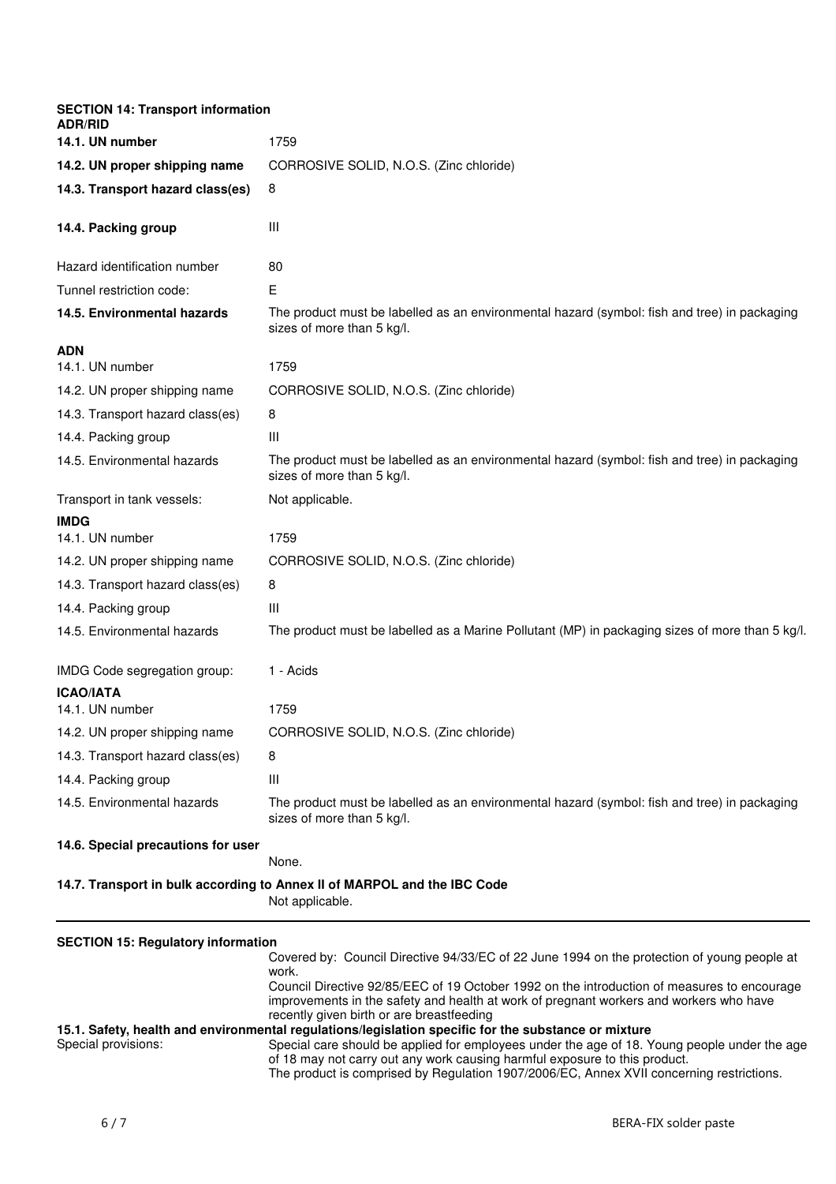| <b>SECTION 14: Transport information</b><br><b>ADR/RID</b> |                                                                                                                                                                                                     |
|------------------------------------------------------------|-----------------------------------------------------------------------------------------------------------------------------------------------------------------------------------------------------|
| 14.1. UN number                                            | 1759                                                                                                                                                                                                |
| 14.2. UN proper shipping name                              | CORROSIVE SOLID, N.O.S. (Zinc chloride)                                                                                                                                                             |
| 14.3. Transport hazard class(es)                           | 8                                                                                                                                                                                                   |
| 14.4. Packing group                                        | Ш                                                                                                                                                                                                   |
| Hazard identification number                               | 80                                                                                                                                                                                                  |
| Tunnel restriction code:                                   | Е                                                                                                                                                                                                   |
| 14.5. Environmental hazards                                | The product must be labelled as an environmental hazard (symbol: fish and tree) in packaging<br>sizes of more than 5 kg/l.                                                                          |
| <b>ADN</b>                                                 |                                                                                                                                                                                                     |
| 14.1. UN number                                            | 1759                                                                                                                                                                                                |
| 14.2. UN proper shipping name                              | CORROSIVE SOLID, N.O.S. (Zinc chloride)                                                                                                                                                             |
| 14.3. Transport hazard class(es)                           | 8                                                                                                                                                                                                   |
| 14.4. Packing group                                        | $\mathbf{III}$                                                                                                                                                                                      |
| 14.5. Environmental hazards                                | The product must be labelled as an environmental hazard (symbol: fish and tree) in packaging<br>sizes of more than 5 kg/l.                                                                          |
| Transport in tank vessels:                                 | Not applicable.                                                                                                                                                                                     |
| <b>IMDG</b>                                                |                                                                                                                                                                                                     |
| 14.1. UN number                                            | 1759                                                                                                                                                                                                |
| 14.2. UN proper shipping name                              | CORROSIVE SOLID, N.O.S. (Zinc chloride)                                                                                                                                                             |
| 14.3. Transport hazard class(es)                           | 8                                                                                                                                                                                                   |
| 14.4. Packing group                                        | Ш                                                                                                                                                                                                   |
| 14.5. Environmental hazards                                | The product must be labelled as a Marine Pollutant (MP) in packaging sizes of more than 5 kg/l.                                                                                                     |
| IMDG Code segregation group:                               | 1 - Acids                                                                                                                                                                                           |
| <b>ICAO/IATA</b>                                           |                                                                                                                                                                                                     |
| 14.1. UN number                                            | 1759                                                                                                                                                                                                |
| 14.2. UN proper shipping name                              | CORROSIVE SOLID, N.O.S. (Zinc chloride)                                                                                                                                                             |
| 14.3. Transport hazard class(es)                           | 8                                                                                                                                                                                                   |
| 14.4. Packing group                                        | Ш                                                                                                                                                                                                   |
| 14.5. Environmental hazards                                | The product must be labelled as an environmental hazard (symbol: fish and tree) in packaging<br>sizes of more than 5 kg/l.                                                                          |
| 14.6. Special precautions for user                         | None.                                                                                                                                                                                               |
|                                                            | 14.7. Transport in bulk according to Annex II of MARPOL and the IBC Code                                                                                                                            |
|                                                            | Not applicable.                                                                                                                                                                                     |
| <b>SECTION 15: Regulatory information</b>                  | Covered by: Council Directive 94/33/EC of 22 June 1994 on the protection of young people at<br>work.<br>Council Directive 92/85/EEC of 19 October 1992 on the introduction of measures to encourage |

Council Directive 92/85/EEC of 19 October 1992 on the introduction of measures to encourage improvements in the safety and health at work of pregnant workers and workers who have recently given birth or are breastfeeding **15.1. Safety, health and environmental regulations/legislation specific for the substance or mixture**

# Special provisions: Special care should be applied for employees under the age of 18. Young people under the age of 18 may not carry out any work causing harmful exposure to this product. The product is comprised by Regulation 1907/2006/EC, Annex XVII concerning restrictions.